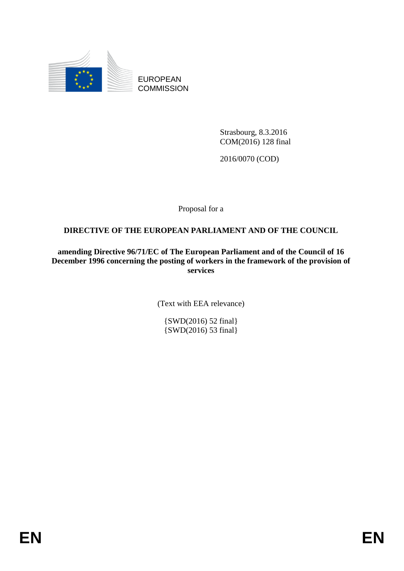

EUROPEAN **COMMISSION** 

> Strasbourg, 8.3.2016 COM(2016) 128 final

2016/0070 (COD)

Proposal for a

## **DIRECTIVE OF THE EUROPEAN PARLIAMENT AND OF THE COUNCIL**

**amending Directive 96/71/EC of The European Parliament and of the Council of 16 December 1996 concerning the posting of workers in the framework of the provision of services**

(Text with EEA relevance)

{SWD(2016) 52 final} {SWD(2016) 53 final}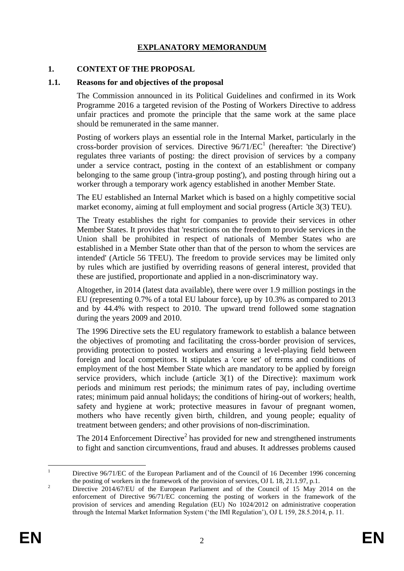## **EXPLANATORY MEMORANDUM**

#### **1. CONTEXT OF THE PROPOSAL**

#### **1.1. Reasons for and objectives of the proposal**

The Commission announced in its Political Guidelines and confirmed in its Work Programme 2016 a targeted revision of the Posting of Workers Directive to address unfair practices and promote the principle that the same work at the same place should be remunerated in the same manner.

Posting of workers plays an essential role in the Internal Market, particularly in the cross-border provision of services. Directive  $96/71/EC<sup>1</sup>$  (hereafter: 'the Directive') regulates three variants of posting: the direct provision of services by a company under a service contract, posting in the context of an establishment or company belonging to the same group ('intra-group posting'), and posting through hiring out a worker through a temporary work agency established in another Member State.

The EU established an Internal Market which is based on a highly competitive social market economy, aiming at full employment and social progress (Article 3(3) TEU).

The Treaty establishes the right for companies to provide their services in other Member States. It provides that 'restrictions on the freedom to provide services in the Union shall be prohibited in respect of nationals of Member States who are established in a Member State other than that of the person to whom the services are intended' (Article 56 TFEU). The freedom to provide services may be limited only by rules which are justified by overriding reasons of general interest, provided that these are justified, proportionate and applied in a non-discriminatory way.

Altogether, in 2014 (latest data available), there were over 1.9 million postings in the EU (representing 0.7% of a total EU labour force), up by 10.3% as compared to 2013 and by 44.4% with respect to 2010. The upward trend followed some stagnation during the years 2009 and 2010.

The 1996 Directive sets the EU regulatory framework to establish a balance between the objectives of promoting and facilitating the cross-border provision of services, providing protection to posted workers and ensuring a level-playing field between foreign and local competitors. It stipulates a 'core set' of terms and conditions of employment of the host Member State which are mandatory to be applied by foreign service providers, which include (article 3(1) of the Directive): maximum work periods and minimum rest periods; the minimum rates of pay, including overtime rates; minimum paid annual holidays; the conditions of hiring-out of workers; health, safety and hygiene at work; protective measures in favour of pregnant women, mothers who have recently given birth, children, and young people; equality of treatment between genders; and other provisions of non-discrimination.

The  $2014$  Enforcement Directive<sup>2</sup> has provided for new and strengthened instruments to fight and sanction circumventions, fraud and abuses. It addresses problems caused

 $\mathbf{1}$ <sup>1</sup> Directive 96/71/EC of the European Parliament and of the Council of 16 December 1996 concerning the posting of workers in the framework of the provision of services, OJ L 18, 21.1.97, p.1.

<sup>&</sup>lt;sup>2</sup> Directive 2014/67/EU of the European Parliament and of the Council of 15 May 2014 on the enforcement of Directive 96/71/EC concerning the posting of workers in the framework of the provision of services and amending Regulation (EU) No 1024/2012 on administrative cooperation through the Internal Market Information System ('the IMI Regulation'), OJ L 159, 28.5.2014, p. 11.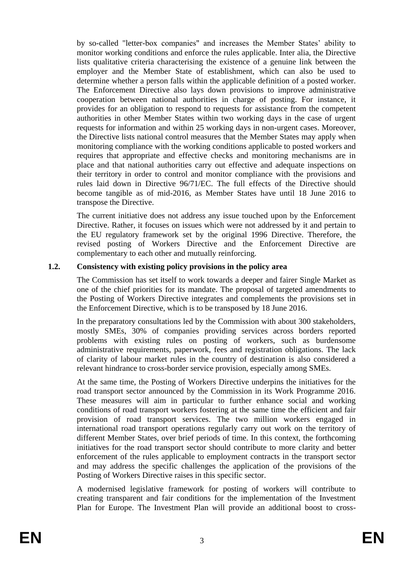by so-called "letter-box companies" and increases the Member States' ability to monitor working conditions and enforce the rules applicable. Inter alia, the Directive lists qualitative criteria characterising the existence of a genuine link between the employer and the Member State of establishment, which can also be used to determine whether a person falls within the applicable definition of a posted worker. The Enforcement Directive also lays down provisions to improve administrative cooperation between national authorities in charge of posting. For instance, it provides for an obligation to respond to requests for assistance from the competent authorities in other Member States within two working days in the case of urgent requests for information and within 25 working days in non-urgent cases. Moreover, the Directive lists national control measures that the Member States may apply when monitoring compliance with the working conditions applicable to posted workers and requires that appropriate and effective checks and monitoring mechanisms are in place and that national authorities carry out effective and adequate inspections on their territory in order to control and monitor compliance with the provisions and rules laid down in Directive 96/71/EC. The full effects of the Directive should become tangible as of mid-2016, as Member States have until 18 June 2016 to transpose the Directive.

The current initiative does not address any issue touched upon by the Enforcement Directive. Rather, it focuses on issues which were not addressed by it and pertain to the EU regulatory framework set by the original 1996 Directive. Therefore, the revised posting of Workers Directive and the Enforcement Directive are complementary to each other and mutually reinforcing.

#### **1.2. Consistency with existing policy provisions in the policy area**

The Commission has set itself to work towards a deeper and fairer Single Market as one of the chief priorities for its mandate. The proposal of targeted amendments to the Posting of Workers Directive integrates and complements the provisions set in the Enforcement Directive, which is to be transposed by 18 June 2016.

In the preparatory consultations led by the Commission with about 300 stakeholders, mostly SMEs, 30% of companies providing services across borders reported problems with existing rules on posting of workers, such as burdensome administrative requirements, paperwork, fees and registration obligations. The lack of clarity of labour market rules in the country of destination is also considered a relevant hindrance to cross-border service provision, especially among SMEs.

At the same time, the Posting of Workers Directive underpins the initiatives for the road transport sector announced by the Commission in its Work Programme 2016. These measures will aim in particular to further enhance social and working conditions of road transport workers fostering at the same time the efficient and fair provision of road transport services. The two million workers engaged in international road transport operations regularly carry out work on the territory of different Member States, over brief periods of time. In this context, the forthcoming initiatives for the road transport sector should contribute to more clarity and better enforcement of the rules applicable to employment contracts in the transport sector and may address the specific challenges the application of the provisions of the Posting of Workers Directive raises in this specific sector.

A modernised legislative framework for posting of workers will contribute to creating transparent and fair conditions for the implementation of the Investment Plan for Europe. The Investment Plan will provide an additional boost to cross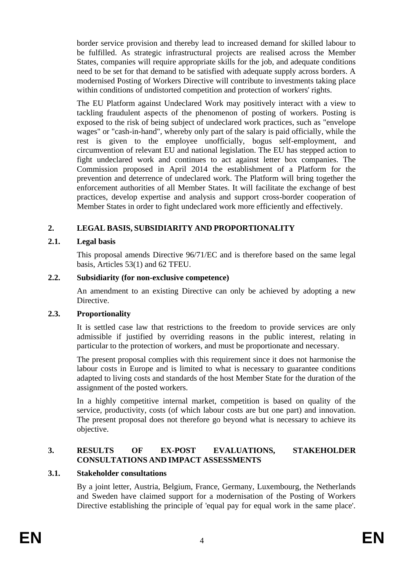border service provision and thereby lead to increased demand for skilled labour to be fulfilled. As strategic infrastructural projects are realised across the Member States, companies will require appropriate skills for the job, and adequate conditions need to be set for that demand to be satisfied with adequate supply across borders. A modernised Posting of Workers Directive will contribute to investments taking place within conditions of undistorted competition and protection of workers' rights.

The EU Platform against Undeclared Work may positively interact with a view to tackling fraudulent aspects of the phenomenon of posting of workers. Posting is exposed to the risk of being subject of undeclared work practices, such as "envelope wages" or "cash-in-hand", whereby only part of the salary is paid officially, while the rest is given to the employee unofficially, bogus self-employment, and circumvention of relevant EU and national legislation. The EU has stepped action to fight undeclared work and continues to act against letter box companies. The Commission proposed in April 2014 the establishment of a Platform for the prevention and deterrence of undeclared work. The Platform will bring together the enforcement authorities of all Member States. It will facilitate the exchange of best practices, develop expertise and analysis and support cross-border cooperation of Member States in order to fight undeclared work more efficiently and effectively.

## **2. LEGAL BASIS, SUBSIDIARITY AND PROPORTIONALITY**

## **2.1. Legal basis**

This proposal amends Directive 96/71/EC and is therefore based on the same legal basis, Articles 53(1) and 62 TFEU.

## **2.2. Subsidiarity (for non-exclusive competence)**

An amendment to an existing Directive can only be achieved by adopting a new Directive.

## **2.3. Proportionality**

It is settled case law that restrictions to the freedom to provide services are only admissible if justified by overriding reasons in the public interest, relating in particular to the protection of workers, and must be proportionate and necessary.

The present proposal complies with this requirement since it does not harmonise the labour costs in Europe and is limited to what is necessary to guarantee conditions adapted to living costs and standards of the host Member State for the duration of the assignment of the posted workers.

In a highly competitive internal market, competition is based on quality of the service, productivity, costs (of which labour costs are but one part) and innovation. The present proposal does not therefore go beyond what is necessary to achieve its objective.

## **3. RESULTS OF EX-POST EVALUATIONS, STAKEHOLDER CONSULTATIONS AND IMPACT ASSESSMENTS**

## **3.1. Stakeholder consultations**

By a joint letter, Austria, Belgium, France, Germany, Luxembourg, the Netherlands and Sweden have claimed support for a modernisation of the Posting of Workers Directive establishing the principle of 'equal pay for equal work in the same place'.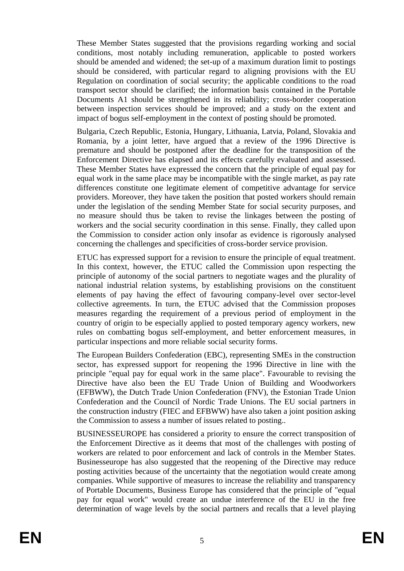These Member States suggested that the provisions regarding working and social conditions, most notably including remuneration, applicable to posted workers should be amended and widened; the set-up of a maximum duration limit to postings should be considered, with particular regard to aligning provisions with the EU Regulation on coordination of social security; the applicable conditions to the road transport sector should be clarified; the information basis contained in the Portable Documents A1 should be strengthened in its reliability; cross-border cooperation between inspection services should be improved; and a study on the extent and impact of bogus self-employment in the context of posting should be promoted.

Bulgaria, Czech Republic, Estonia, Hungary, Lithuania, Latvia, Poland, Slovakia and Romania, by a joint letter, have argued that a review of the 1996 Directive is premature and should be postponed after the deadline for the transposition of the Enforcement Directive has elapsed and its effects carefully evaluated and assessed. These Member States have expressed the concern that the principle of equal pay for equal work in the same place may be incompatible with the single market, as pay rate differences constitute one legitimate element of competitive advantage for service providers. Moreover, they have taken the position that posted workers should remain under the legislation of the sending Member State for social security purposes, and no measure should thus be taken to revise the linkages between the posting of workers and the social security coordination in this sense. Finally, they called upon the Commission to consider action only insofar as evidence is rigorously analysed concerning the challenges and specificities of cross-border service provision.

ETUC has expressed support for a revision to ensure the principle of equal treatment. In this context, however, the ETUC called the Commission upon respecting the principle of autonomy of the social partners to negotiate wages and the plurality of national industrial relation systems, by establishing provisions on the constituent elements of pay having the effect of favouring company-level over sector-level collective agreements. In turn, the ETUC advised that the Commission proposes measures regarding the requirement of a previous period of employment in the country of origin to be especially applied to posted temporary agency workers, new rules on combatting bogus self-employment, and better enforcement measures, in particular inspections and more reliable social security forms.

The European Builders Confederation (EBC), representing SMEs in the construction sector, has expressed support for reopening the 1996 Directive in line with the principle "equal pay for equal work in the same place". Favourable to revising the Directive have also been the EU Trade Union of Building and Woodworkers (EFBWW), the Dutch Trade Union Confederation (FNV), the Estonian Trade Union Confederation and the Council of Nordic Trade Unions. The EU social partners in the construction industry (FIEC and EFBWW) have also taken a joint position asking the Commission to assess a number of issues related to posting..

BUSINESSEUROPE has considered a priority to ensure the correct transposition of the Enforcement Directive as it deems that most of the challenges with posting of workers are related to poor enforcement and lack of controls in the Member States. Businesseurope has also suggested that the reopening of the Directive may reduce posting activities because of the uncertainty that the negotiation would create among companies. While supportive of measures to increase the reliability and transparency of Portable Documents, Business Europe has considered that the principle of "equal pay for equal work" would create an undue interference of the EU in the free determination of wage levels by the social partners and recalls that a level playing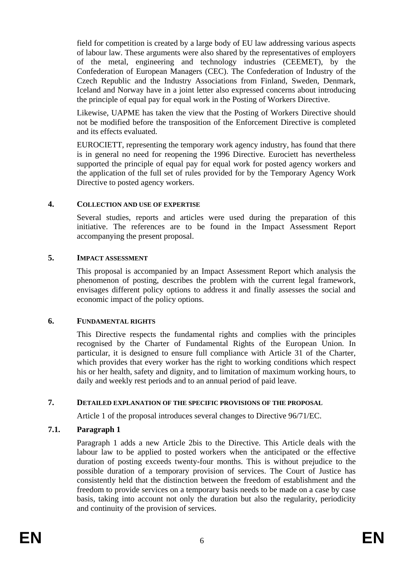field for competition is created by a large body of EU law addressing various aspects of labour law. These arguments were also shared by the representatives of employers of the metal, engineering and technology industries (CEEMET), by the Confederation of European Managers (CEC). The Confederation of Industry of the Czech Republic and the Industry Associations from Finland, Sweden, Denmark, Iceland and Norway have in a joint letter also expressed concerns about introducing the principle of equal pay for equal work in the Posting of Workers Directive.

Likewise, UAPME has taken the view that the Posting of Workers Directive should not be modified before the transposition of the Enforcement Directive is completed and its effects evaluated.

EUROCIETT, representing the temporary work agency industry, has found that there is in general no need for reopening the 1996 Directive. Eurociett has nevertheless supported the principle of equal pay for equal work for posted agency workers and the application of the full set of rules provided for by the Temporary Agency Work Directive to posted agency workers.

#### **4. COLLECTION AND USE OF EXPERTISE**

Several studies, reports and articles were used during the preparation of this initiative. The references are to be found in the Impact Assessment Report accompanying the present proposal.

#### **5. IMPACT ASSESSMENT**

This proposal is accompanied by an Impact Assessment Report which analysis the phenomenon of posting, describes the problem with the current legal framework, envisages different policy options to address it and finally assesses the social and economic impact of the policy options.

#### **6. FUNDAMENTAL RIGHTS**

This Directive respects the fundamental rights and complies with the principles recognised by the Charter of Fundamental Rights of the European Union. In particular, it is designed to ensure full compliance with Article 31 of the Charter, which provides that every worker has the right to working conditions which respect his or her health, safety and dignity, and to limitation of maximum working hours, to daily and weekly rest periods and to an annual period of paid leave.

## **7. DETAILED EXPLANATION OF THE SPECIFIC PROVISIONS OF THE PROPOSAL**

Article 1 of the proposal introduces several changes to Directive 96/71/EC.

## **7.1. Paragraph 1**

Paragraph 1 adds a new Article 2bis to the Directive. This Article deals with the labour law to be applied to posted workers when the anticipated or the effective duration of posting exceeds twenty-four months. This is without prejudice to the possible duration of a temporary provision of services. The Court of Justice has consistently held that the distinction between the freedom of establishment and the freedom to provide services on a temporary basis needs to be made on a case by case basis, taking into account not only the duration but also the regularity, periodicity and continuity of the provision of services.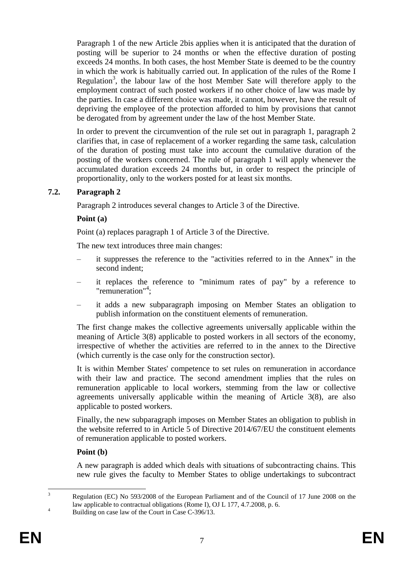Paragraph 1 of the new Article 2bis applies when it is anticipated that the duration of posting will be superior to 24 months or when the effective duration of posting exceeds 24 months. In both cases, the host Member State is deemed to be the country in which the work is habitually carried out. In application of the rules of the Rome I Regulation<sup>3</sup>, the labour law of the host Member Sate will therefore apply to the employment contract of such posted workers if no other choice of law was made by the parties. In case a different choice was made, it cannot, however, have the result of depriving the employee of the protection afforded to him by provisions that cannot be derogated from by agreement under the law of the host Member State.

In order to prevent the circumvention of the rule set out in paragraph 1, paragraph 2 clarifies that, in case of replacement of a worker regarding the same task, calculation of the duration of posting must take into account the cumulative duration of the posting of the workers concerned. The rule of paragraph 1 will apply whenever the accumulated duration exceeds 24 months but, in order to respect the principle of proportionality, only to the workers posted for at least six months.

## **7.2. Paragraph 2**

Paragraph 2 introduces several changes to Article 3 of the Directive.

#### **Point (a)**

Point (a) replaces paragraph 1 of Article 3 of the Directive.

The new text introduces three main changes:

- it suppresses the reference to the "activities referred to in the Annex" in the second indent;
- it replaces the reference to "minimum rates of pay" by a reference to "remuneration"<sup>4</sup>;
- it adds a new subparagraph imposing on Member States an obligation to publish information on the constituent elements of remuneration.

The first change makes the collective agreements universally applicable within the meaning of Article 3(8) applicable to posted workers in all sectors of the economy, irrespective of whether the activities are referred to in the annex to the Directive (which currently is the case only for the construction sector).

It is within Member States' competence to set rules on remuneration in accordance with their law and practice. The second amendment implies that the rules on remuneration applicable to local workers, stemming from the law or collective agreements universally applicable within the meaning of Article 3(8), are also applicable to posted workers.

Finally, the new subparagraph imposes on Member States an obligation to publish in the website referred to in Article 5 of Directive 2014/67/EU the constituent elements of remuneration applicable to posted workers.

#### **Point (b)**

A new paragraph is added which deals with situations of subcontracting chains. This new rule gives the faculty to Member States to oblige undertakings to subcontract

 $\overline{a}$ <sup>3</sup> Regulation (EC) No 593/2008 of the European Parliament and of the Council of 17 June 2008 on the law applicable to contractual obligations (Rome I), OJ L 177, 4.7.2008, p. 6.

<sup>&</sup>lt;sup>4</sup><br>Building on case law of the Court in Case C-396/13.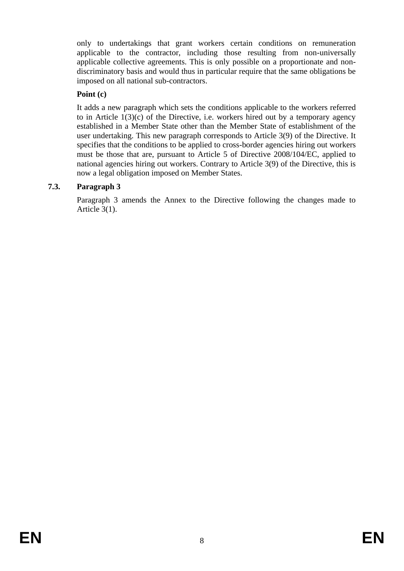only to undertakings that grant workers certain conditions on remuneration applicable to the contractor, including those resulting from non-universally applicable collective agreements. This is only possible on a proportionate and nondiscriminatory basis and would thus in particular require that the same obligations be imposed on all national sub-contractors.

## **Point (c)**

It adds a new paragraph which sets the conditions applicable to the workers referred to in Article  $1(3)(c)$  of the Directive, i.e. workers hired out by a temporary agency established in a Member State other than the Member State of establishment of the user undertaking. This new paragraph corresponds to Article 3(9) of the Directive. It specifies that the conditions to be applied to cross-border agencies hiring out workers must be those that are, pursuant to Article 5 of Directive 2008/104/EC, applied to national agencies hiring out workers. Contrary to Article 3(9) of the Directive, this is now a legal obligation imposed on Member States.

# **7.3. Paragraph 3**

Paragraph 3 amends the Annex to the Directive following the changes made to Article 3(1).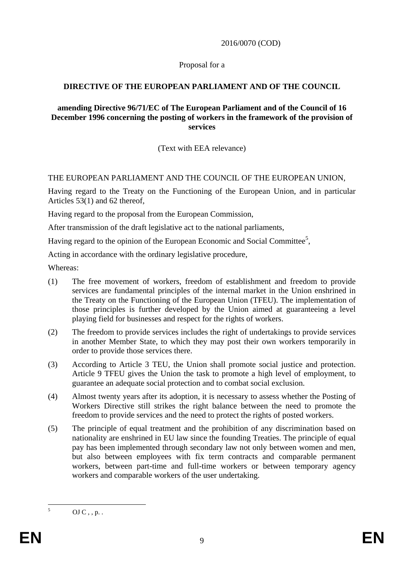2016/0070 (COD)

#### Proposal for a

## **DIRECTIVE OF THE EUROPEAN PARLIAMENT AND OF THE COUNCIL**

#### **amending Directive 96/71/EC of The European Parliament and of the Council of 16 December 1996 concerning the posting of workers in the framework of the provision of services**

(Text with EEA relevance)

## THE EUROPEAN PARLIAMENT AND THE COUNCIL OF THE EUROPEAN UNION,

Having regard to the Treaty on the Functioning of the European Union, and in particular Articles 53(1) and 62 thereof,

Having regard to the proposal from the European Commission,

After transmission of the draft legislative act to the national parliaments,

Having regard to the opinion of the European Economic and Social Committee<sup>5</sup>,

Acting in accordance with the ordinary legislative procedure,

Whereas:

- (1) The free movement of workers, freedom of establishment and freedom to provide services are fundamental principles of the internal market in the Union enshrined in the Treaty on the Functioning of the European Union (TFEU). The implementation of those principles is further developed by the Union aimed at guaranteeing a level playing field for businesses and respect for the rights of workers.
- (2) The freedom to provide services includes the right of undertakings to provide services in another Member State, to which they may post their own workers temporarily in order to provide those services there.
- (3) According to Article 3 TEU, the Union shall promote social justice and protection. Article 9 TFEU gives the Union the task to promote a high level of employment, to guarantee an adequate social protection and to combat social exclusion.
- (4) Almost twenty years after its adoption, it is necessary to assess whether the Posting of Workers Directive still strikes the right balance between the need to promote the freedom to provide services and the need to protect the rights of posted workers.
- (5) The principle of equal treatment and the prohibition of any discrimination based on nationality are enshrined in EU law since the founding Treaties. The principle of equal pay has been implemented through secondary law not only between women and men, but also between employees with fix term contracts and comparable permanent workers, between part-time and full-time workers or between temporary agency workers and comparable workers of the user undertaking.

 $\overline{5}$ 

 $OJ C$ , , p. .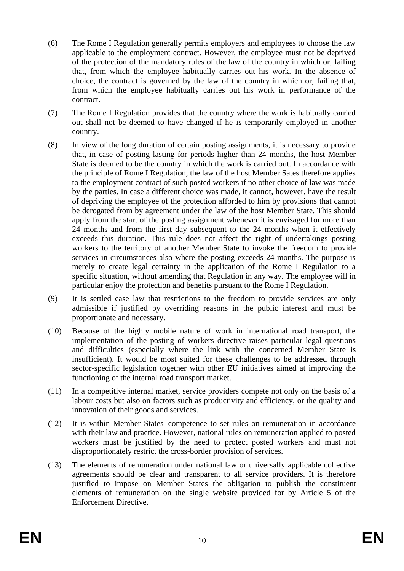- (6) The Rome I Regulation generally permits employers and employees to choose the law applicable to the employment contract. However, the employee must not be deprived of the protection of the mandatory rules of the law of the country in which or, failing that, from which the employee habitually carries out his work. In the absence of choice, the contract is governed by the law of the country in which or, failing that, from which the employee habitually carries out his work in performance of the contract.
- (7) The Rome I Regulation provides that the country where the work is habitually carried out shall not be deemed to have changed if he is temporarily employed in another country.
- (8) In view of the long duration of certain posting assignments, it is necessary to provide that, in case of posting lasting for periods higher than 24 months, the host Member State is deemed to be the country in which the work is carried out. In accordance with the principle of Rome I Regulation, the law of the host Member Sates therefore applies to the employment contract of such posted workers if no other choice of law was made by the parties. In case a different choice was made, it cannot, however, have the result of depriving the employee of the protection afforded to him by provisions that cannot be derogated from by agreement under the law of the host Member State. This should apply from the start of the posting assignment whenever it is envisaged for more than 24 months and from the first day subsequent to the 24 months when it effectively exceeds this duration. This rule does not affect the right of undertakings posting workers to the territory of another Member State to invoke the freedom to provide services in circumstances also where the posting exceeds 24 months. The purpose is merely to create legal certainty in the application of the Rome I Regulation to a specific situation, without amending that Regulation in any way. The employee will in particular enjoy the protection and benefits pursuant to the Rome I Regulation.
- (9) It is settled case law that restrictions to the freedom to provide services are only admissible if justified by overriding reasons in the public interest and must be proportionate and necessary.
- (10) Because of the highly mobile nature of work in international road transport, the implementation of the posting of workers directive raises particular legal questions and difficulties (especially where the link with the concerned Member State is insufficient). It would be most suited for these challenges to be addressed through sector-specific legislation together with other EU initiatives aimed at improving the functioning of the internal road transport market.
- (11) In a competitive internal market, service providers compete not only on the basis of a labour costs but also on factors such as productivity and efficiency, or the quality and innovation of their goods and services.
- (12) It is within Member States' competence to set rules on remuneration in accordance with their law and practice. However, national rules on remuneration applied to posted workers must be justified by the need to protect posted workers and must not disproportionately restrict the cross-border provision of services.
- (13) The elements of remuneration under national law or universally applicable collective agreements should be clear and transparent to all service providers. It is therefore justified to impose on Member States the obligation to publish the constituent elements of remuneration on the single website provided for by Article 5 of the Enforcement Directive.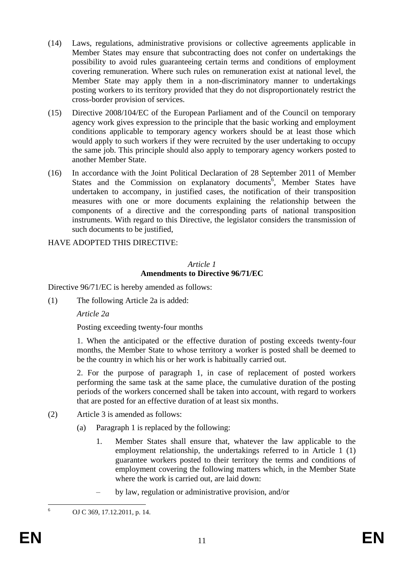- (14) Laws, regulations, administrative provisions or collective agreements applicable in Member States may ensure that subcontracting does not confer on undertakings the possibility to avoid rules guaranteeing certain terms and conditions of employment covering remuneration. Where such rules on remuneration exist at national level, the Member State may apply them in a non-discriminatory manner to undertakings posting workers to its territory provided that they do not disproportionately restrict the cross-border provision of services.
- (15) Directive 2008/104/EC of the European Parliament and of the Council on temporary agency work gives expression to the principle that the basic working and employment conditions applicable to temporary agency workers should be at least those which would apply to such workers if they were recruited by the user undertaking to occupy the same job. This principle should also apply to temporary agency workers posted to another Member State.
- (16) In accordance with the Joint Political Declaration of 28 September 2011 of Member States and the Commission on explanatory documents<sup>6</sup>, Member States have undertaken to accompany, in justified cases, the notification of their transposition measures with one or more documents explaining the relationship between the components of a directive and the corresponding parts of national transposition instruments. With regard to this Directive, the legislator considers the transmission of such documents to be justified,

## HAVE ADOPTED THIS DIRECTIVE:

#### *Article 1* **Amendments to Directive 96/71/EC**

Directive 96/71/EC is hereby amended as follows:

(1) The following Article 2a is added:

*Article 2a*

Posting exceeding twenty-four months

1. When the anticipated or the effective duration of posting exceeds twenty-four months, the Member State to whose territory a worker is posted shall be deemed to be the country in which his or her work is habitually carried out.

2. For the purpose of paragraph 1, in case of replacement of posted workers performing the same task at the same place, the cumulative duration of the posting periods of the workers concerned shall be taken into account, with regard to workers that are posted for an effective duration of at least six months.

- (2) Article 3 is amended as follows:
	- (a) Paragraph 1 is replaced by the following:
		- 1. Member States shall ensure that, whatever the law applicable to the employment relationship, the undertakings referred to in Article 1 (1) guarantee workers posted to their territory the terms and conditions of employment covering the following matters which, in the Member State where the work is carried out, are laid down:
		- by law, regulation or administrative provision, and/or

 $\overline{6}$ 

<sup>6</sup> OJ C 369, 17.12.2011, p. 14.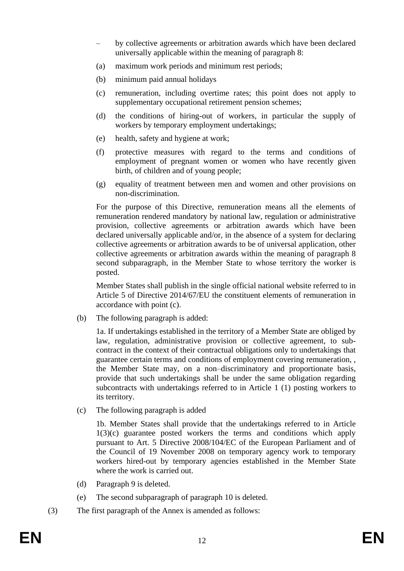- by collective agreements or arbitration awards which have been declared universally applicable within the meaning of paragraph 8:
- (a) maximum work periods and minimum rest periods;
- (b) minimum paid annual holidays
- (c) remuneration, including overtime rates; this point does not apply to supplementary occupational retirement pension schemes:
- (d) the conditions of hiring-out of workers, in particular the supply of workers by temporary employment undertakings;
- (e) health, safety and hygiene at work;
- (f) protective measures with regard to the terms and conditions of employment of pregnant women or women who have recently given birth, of children and of young people;
- (g) equality of treatment between men and women and other provisions on non-discrimination.

For the purpose of this Directive, remuneration means all the elements of remuneration rendered mandatory by national law, regulation or administrative provision, collective agreements or arbitration awards which have been declared universally applicable and/or, in the absence of a system for declaring collective agreements or arbitration awards to be of universal application, other collective agreements or arbitration awards within the meaning of paragraph 8 second subparagraph, in the Member State to whose territory the worker is posted.

Member States shall publish in the single official national website referred to in Article 5 of Directive 2014/67/EU the constituent elements of remuneration in accordance with point (c).

(b) The following paragraph is added:

1a. If undertakings established in the territory of a Member State are obliged by law, regulation, administrative provision or collective agreement, to subcontract in the context of their contractual obligations only to undertakings that guarantee certain terms and conditions of employment covering remuneration, , the Member State may, on a non–discriminatory and proportionate basis, provide that such undertakings shall be under the same obligation regarding subcontracts with undertakings referred to in Article 1 (1) posting workers to its territory.

(c) The following paragraph is added

1b. Member States shall provide that the undertakings referred to in Article 1(3)(c) guarantee posted workers the terms and conditions which apply pursuant to Art. 5 Directive 2008/104/EC of the European Parliament and of the Council of 19 November 2008 on temporary agency work to temporary workers hired-out by temporary agencies established in the Member State where the work is carried out.

- (d) Paragraph 9 is deleted.
- (e) The second subparagraph of paragraph 10 is deleted.
- (3) The first paragraph of the Annex is amended as follows: